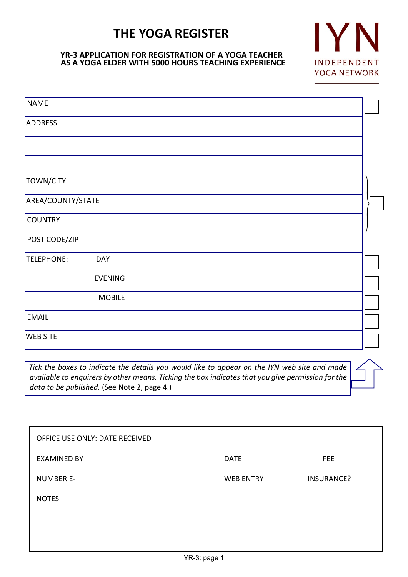# **THE YOGA REGISTER**

# **YR-3 APPLICATION FOR REGISTRATION OF A YOGA TEACHER AS A YOGA ELDER WITH 5000 HOURS TEACHING EXPERIENCE**



| <b>NAME</b>              |  |
|--------------------------|--|
| ADDRESS                  |  |
|                          |  |
|                          |  |
| TOWN/CITY                |  |
| AREA/COUNTY/STATE        |  |
| <b>COUNTRY</b>           |  |
| POST CODE/ZIP            |  |
| TELEPHONE:<br><b>DAY</b> |  |
| <b>EVENING</b>           |  |
| MOBILE                   |  |
| <b>EMAIL</b>             |  |
| <b>WEB SITE</b>          |  |

*Tick the boxes to indicate the details you would like to appear on the IYN web site and made available to enquirers by other means. Ticking the box indicates that you give permission for the data to be published.* (See Note 2, page 4.)

| OFFICE USE ONLY: DATE RECEIVED |                  |                   |
|--------------------------------|------------------|-------------------|
| <b>EXAMINED BY</b>             | <b>DATE</b>      | <b>FEE</b>        |
| <b>NUMBER E-</b>               | <b>WEB ENTRY</b> | <b>INSURANCE?</b> |
| <b>NOTES</b>                   |                  |                   |
|                                |                  |                   |
|                                |                  |                   |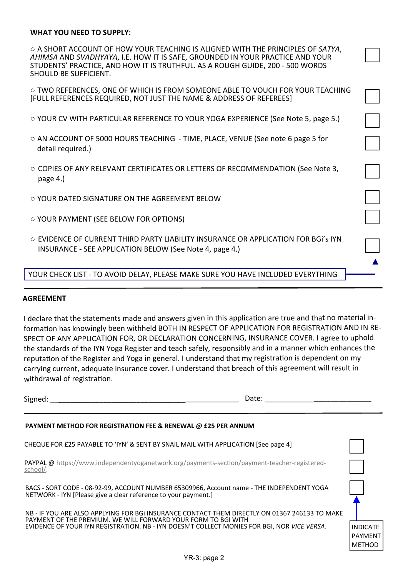### **WHAT YOU NEED TO SUPPLY:**

○ A SHORT ACCOUNT OF HOW YOUR TEACHING IS ALIGNED WITH THE PRINCIPLES OF *SATYA*, *AHIMSA* AND *SVADHYAYA*, I.E. HOW IT IS SAFE, GROUNDED IN YOUR PRACTICE AND YOUR STUDENTS' PRACTICE, AND HOW IT IS TRUTHFUL. AS A ROUGH GUIDE, 200 - 500 WORDS SHOULD BE SUFFICIENT.

 $\circ$  TWO REFERENCES. ONE OF WHICH IS FROM SOMEONE ABLE TO VOUCH FOR YOUR TEACHING [FULL REFERENCES REQUIRED, NOT JUST THE NAME & ADDRESS OF REFEREES]

- YOUR CV WITH PARTICULAR REFERENCE TO YOUR YOGA EXPERIENCE (See Note 5, page 5.)
- AN ACCOUNT OF 5000 HOURS TEACHING TIME, PLACE, VENUE (See note 6 page 5 for detail required.)
- COPIES OF ANY RELEVANT CERTIFICATES OR LETTERS OF RECOMMENDATION (See Note 3, page 4.)
- YOUR DATED SIGNATURE ON THE AGREEMENT BELOW
- YOUR PAYMENT (SEE BELOW FOR OPTIONS)
- EVIDENCE OF CURRENT THIRD PARTY LIABILITY INSURANCE OR APPLICATION FOR BGi's IYN INSURANCE - SEE APPLICATION BELOW (See Note 4, page 4.)

YOUR CHECK LIST - TO AVOID DELAY, PLEASE MAKE SURE YOU HAVE INCLUDED EVERYTHING

#### **AGREEMENT**

I declare that the statements made and answers given in this application are true and that no material information has knowingly been withheld BOTH IN RESPECT OF APPLICATION FOR REGISTRATION AND IN RE-SPECT OF ANY APPLICATION FOR, OR DECLARATION CONCERNING, INSURANCE COVER. <sup>I</sup> agree to uphold the standards of the IYN Yoga Register and teach safely, responsibly and in <sup>a</sup> manner which enhances the reputation of the Register and Yoga in general. I understand that my registration is dependent on my carrying current, adequate insurance cover. <sup>I</sup> understand that breach of this agreement will result in withdrawal of registration.

Signed: \_\_\_\_\_\_\_\_\_\_\_\_\_\_\_\_\_\_\_\_\_\_\_\_\_\_\_\_\_\_\_\_\_\_\_\_\_\_\_\_\_\_\_\_\_\_ Date: \_\_\_\_\_\_\_\_\_\_\_\_\_\_\_\_\_\_\_\_\_\_\_\_\_\_

#### **PAYMENT METHOD FOR REGISTRATION FEE & RENEWAL @ £25 PER ANNUM**

| CHEQUE FOR £25 PAYABLE TO 'IYN' & SENT BY SNAIL MAIL WITH APPLICATION [See page 4]                                                                                                                                                                            |                                                    |
|---------------------------------------------------------------------------------------------------------------------------------------------------------------------------------------------------------------------------------------------------------------|----------------------------------------------------|
| PAYPAL @ https://www.independentyoganetwork.org/payments-section/payment-teacher-registered-<br>school/.                                                                                                                                                      |                                                    |
| BACS - SORT CODE - 08-92-99, ACCOUNT NUMBER 65309966, Account name - THE INDEPENDENT YOGA<br>NETWORK - IYN [Please give a clear reference to your payment.]                                                                                                   |                                                    |
| NB - IF YOU ARE ALSO APPLYING FOR BGI INSURANCE CONTACT THEM DIRECTLY ON 01367 246133 TO MAKE<br>PAYMENT OF THE PREMIUM. WE WILL FORWARD YOUR FORM TO BGI WITH<br>EVIDENCE OF YOUR IYN REGISTRATION. NB - IYN DOESN'T COLLECT MONIES FOR BGI. NOR VICE VERSA. | <b>INDICATE</b><br><b>PAYMENT</b><br><b>METHOD</b> |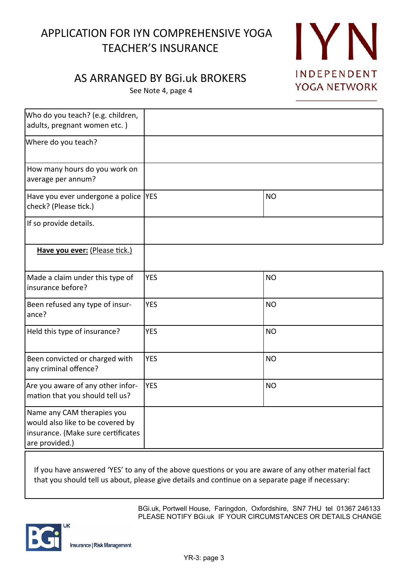# APPLICATION FOR IYN COMPREHENSIVE YOGA TEACHER'S INSURANCE



# AS ARRANGED BY BGi.uk BROKERS

See Note 4, page 4

| Who do you teach? (e.g. children,<br>adults, pregnant women etc.)                                                      |            |           |
|------------------------------------------------------------------------------------------------------------------------|------------|-----------|
| Where do you teach?                                                                                                    |            |           |
| How many hours do you work on<br>average per annum?                                                                    |            |           |
| Have you ever undergone a police  YES<br>check? (Please tick.)                                                         |            | <b>NO</b> |
| If so provide details.                                                                                                 |            |           |
| Have you ever: (Please tick.)                                                                                          |            |           |
| Made a claim under this type of<br>insurance before?                                                                   | <b>YES</b> | <b>NO</b> |
| Been refused any type of insur-<br>ance?                                                                               | <b>YES</b> | <b>NO</b> |
| Held this type of insurance?                                                                                           | <b>YES</b> | <b>NO</b> |
| Been convicted or charged with<br>any criminal offence?                                                                | <b>YES</b> | <b>NO</b> |
| Are you aware of any other infor-<br>mation that you should tell us?                                                   | <b>YES</b> | <b>NO</b> |
| Name any CAM therapies you<br>would also like to be covered by<br>insurance. (Make sure certificates<br>are provided.) |            |           |

If you have answered 'YES' to any of the above questions or you are aware of any other material fact that you should tell us about, please give details and continue on a separate page if necessary:

> BGi.uk, Portwell House, Faringdon, Oxfordshire, SN7 7HU tel 01367 246133 PLEASE NOTIFY BGI.uk IF YOUR CIRCUMSTANCES OR DETAILS CHANGE

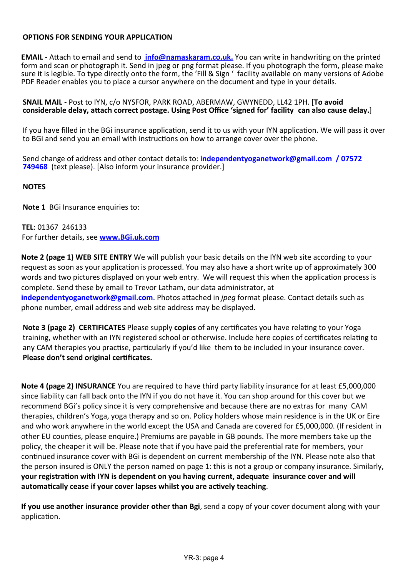## **OPTIONS FOR SENDING YOUR APPLICATION**

**EMAIL** - Attach to email and send to **info@namaskaram.co.uk.** You can write in handwriting on the printed form and scan or photograph it. Send in jpeg or png format please. If you photograph the form, please make sure it is legible. To type directly onto the form, the 'Fill & Sign ' facility available on many versions of Adobe PDF Reader enables you to place a cursor anywhere on the document and type in your details.

**SNAIL MAIL** - Post to IYN, c/o NYSFOR, PARK ROAD, ABERMAW, GWYNEDD, LL42 1PH. [**To avoid** considerable delay, attach correct postage. Using Post Office 'signed for' facility can also cause delay.]

If you have filled in the BGi insurance application, send it to us with your IYN application. We will pass it over to BGi and send you an email with instructions on how to arrange cover over the phone.

Send change of address and other contact details to: **independentyoganetwork@gmail.com / 07572 749468** (text please). [Also inform your insurance provider.]

### **NOTES**

**Note 1** BGi Insurance enquiries to:

**TEL**: 01367 246133 For further details, see **www.BGi.uk.com**

**Note 2 (page 1) WEB SITE ENTRY** We will publish your basic details on the IYN web site according to your request as soon as your application is processed. You may also have a short write up of approximately 300 words and two pictures displayed on your web entry. We will request this when the application process is complete. Send these by email to Trevor Latham, our data administrator, at **independentyoganetwork@gmail.com**. Photos attached in *jpeg* format please. Contact details such as

phone number, email address and web site address may be displayed.

**Note 3 (page 2) CERTIFICATES** Please supply **copies** of any certificates you have relating to your Yoga training, whether with an IYN registered school or otherwise. Include here copies of certificates relating to any CAM therapies you practise, particularly if you'd like them to be included in your insurance cover. **Please don't send original cer�ficates.**

**Note 4 (page 2) INSURANCE** You are required to have third party liability insurance for at least £5,000,000 since liability can fall back onto the IYN if you do not have it. You can shop around for this cover but we recommend BGi's policy since it is very comprehensive and because there are no extras for many CAM therapies, children's Yoga, yoga therapy and so on. Policy holders whose main residence is in the UK or Eire and who work anywhere in the world except the USA and Canada are covered for £5,000,000. (If resident in other EU coun�es, please enquire.) Premiums are payable in GB pounds. The more members take up the policy, the cheaper it will be. Please note that if you have paid the preferen�al rate for members, your continued insurance cover with BGi is dependent on current membership of the IYN. Please note also that the person insured is ONLY the person named on page 1: this is not a group or company insurance. Similarly, **your registration with IYN is dependent on you having current, adequate insurance cover and will** automatically cease if your cover lapses whilst you are actively teaching.

**If you use another insurance provider other than Bgi**, send a copy of your cover document along with your application.